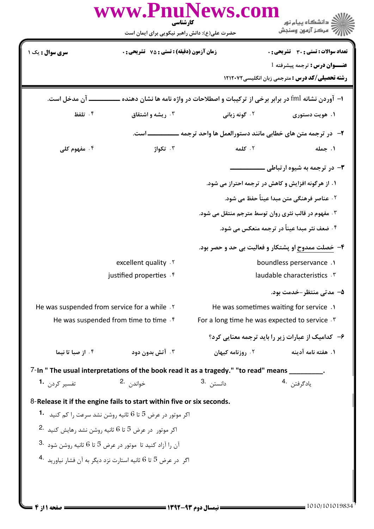|                                                               | حضرت علی(ع): دانش راهبر نیکویی برای ایمان است                                                  |                       | ڪ دانشڪاه پيام نور<br>۾ مرڪز آزمون وسنڊش                                            |
|---------------------------------------------------------------|------------------------------------------------------------------------------------------------|-----------------------|-------------------------------------------------------------------------------------|
| <b>سری سوال :</b> یک ۱                                        | <b>زمان آزمون (دقیقه) : تستی : 75 تشریحی : 0</b>                                               |                       | <b>تعداد سوالات : تستی : 30 ٪ تشریحی : 0</b>                                        |
|                                                               |                                                                                                |                       | <b>عنــوان درس :</b> ترجمه پیشرفته 1                                                |
|                                                               |                                                                                                |                       | <b>رشته تحصیلی/کد درس :</b> مترجمی زبان انگلیسی1۲۱۲۰۷۲                              |
| ــ آن مدخل است.                                               |                                                                                                |                       | ا– آوردن نشانه fml در برابر برخی از ترکیبات و اصطلاحات در واژه نامه ها نشان دهنده ـ |
| ۰۴ تلفظ                                                       | ۰۳ ریشه و اشتقاق                                                                               | ۰۲ گونه زبان <b>ی</b> | ۰۱ هويت دستوري                                                                      |
|                                                               |                                                                                                |                       | ۲- در ترجمه متن های خطابی مانند دستورالعمل ها واحد ترجمه                            |
| ۰۴ مفهوم کل <i>ی</i>                                          | ۰۳ تکواژ                                                                                       | ٢. كلمه               | ۰۱ جمله                                                                             |
|                                                               |                                                                                                |                       | <b>۳</b> - در ترجمه به شیوه ارتباطی .                                               |
|                                                               |                                                                                                |                       | ۱. از هرگونه افزایش و کاهش در ترجمه احتراز می شود.                                  |
|                                                               |                                                                                                |                       | ۰۲ عناصر فرهنگی متن مبدا عیناً حفظ می شود.                                          |
|                                                               |                                                                                                |                       | ۰۳ مفهوم در قالب نثری روان توسط مترجم منتقل می شود.                                 |
|                                                               |                                                                                                |                       | ۰۴ ضعف نثر مبدا عیناً در ترجمه منعکس می شود.                                        |
|                                                               |                                                                                                |                       | ۴- خصلت ممدوح او پشتکار و فعالیت بی حد و حصر بود.                                   |
|                                                               | excellent quality . Y                                                                          |                       | boundless perservance.                                                              |
|                                                               | justified properties f                                                                         |                       | laudable characteristics . \v                                                       |
|                                                               |                                                                                                |                       | ۵− مدتے منتظر –خدمت بود.                                                            |
| He was suspended from service for a while . Y                 |                                                                                                |                       | He was sometimes waiting for service .1                                             |
|                                                               | He was suspended from time to time. $f$                                                        |                       | For a long time he was expected to service.                                         |
|                                                               |                                                                                                |                       | ۶- کدامیک از عبارات زیر را باید ترجمه معنایی کرد؟                                   |
| ۰۴ از صبا تا نیما                                             | ۰۳ آتش بدون دود                                                                                | ۰۲ روزنامه کیهان      | ۱. هفته نامه آدینه                                                                  |
|                                                               | 7-In " The usual interpretations of the book read it as a tragedy." "to read" means _________. |                       |                                                                                     |
| تفسیر کردن <b>1</b>                                           | خواندن 2.                                                                                      | دانستن 3.             | يادگرفتن <sup>.4</sup>                                                              |
|                                                               | 8-Release it if the engine fails to start within five or six seconds.                          |                       |                                                                                     |
|                                                               | 17 موتور در عرض 5 تا 6 ثانیه روشن نشد سرعت را کم کنید $\,$ $\,$                                |                       |                                                                                     |
| 2. اکر موتور ادر عرض 5 تا 6 ثانیه روشن نشد رهایش کنید $^{12}$ |                                                                                                |                       |                                                                                     |
|                                                               | 3. ارا آزاد کنید تا موتور در عرض 5 تا 6 ثانیه روشن شود $^{\rm 3.}$                             |                       |                                                                                     |
|                                                               | اگر ادر عرض 5 تا 6 ثانیه استارت نزد دیگر به آن فشار نیاورید $\cdot$ 4                          |                       |                                                                                     |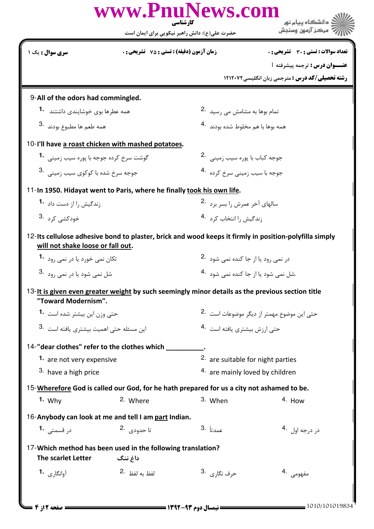|                                              |                                                                        | حضرت علی(ع): دانش راهبر نیکویی برای ایمان است                                                    | " مرڪز آزمون وسنڊش                                                                                     |  |  |
|----------------------------------------------|------------------------------------------------------------------------|--------------------------------------------------------------------------------------------------|--------------------------------------------------------------------------------------------------------|--|--|
| <b>سری سوال :</b> یک ۱                       | <b>زمان آزمون (دقیقه) : تستی : 75 ٪ تشریحی : 0</b>                     |                                                                                                  | تعداد سوالات : تستى : 30 - تشريحي : 0                                                                  |  |  |
|                                              |                                                                        |                                                                                                  | عنــوان درس: ترجمه پیشرفته 1                                                                           |  |  |
|                                              |                                                                        |                                                                                                  | <b>رشته تحصیلی/کد درس :</b> مترجمی زبان انگلیسی ۱۲۱۲۰۷۲                                                |  |  |
| 9-All of the odors had commingled.           |                                                                        |                                                                                                  |                                                                                                        |  |  |
| همه عطرها بوی خوشایندی داشتند <b>1</b> ۰     |                                                                        | تمام بوها به مشامش می رسید 2.                                                                    |                                                                                                        |  |  |
| همه طعم ها مطبوع بودند .3                    |                                                                        | همه بوها با هم مخلوط شده بودند 4.                                                                |                                                                                                        |  |  |
|                                              | 10-I'll have a roast chicken with mashed potatoes.                     |                                                                                                  |                                                                                                        |  |  |
| گوشت سرخ کرده جوجه با پوره سیب زمینی 1.      |                                                                        | جوجه كباب با يوره سيب زميني . 2                                                                  |                                                                                                        |  |  |
| جوجه سرخ شده با کوکوی سیب زمینے, 3.          |                                                                        |                                                                                                  | جوجه با سیب زمین <i>ی</i> سرخ کرده <sup>۔4</sup>                                                       |  |  |
|                                              | 11-In 1950. Hidayat went to Paris, where he finally took his own life. |                                                                                                  |                                                                                                        |  |  |
| زندگیش را از دست داد 1.                      |                                                                        |                                                                                                  | سالهای آخر عمرش را بسر برد <sup>.2</sup>                                                               |  |  |
| خودکشی کرد۔ <sup>3</sup>                     |                                                                        | زندگیش را انتخاب کرد 4.                                                                          |                                                                                                        |  |  |
| will not shake loose or fall out.            |                                                                        |                                                                                                  | 12-Its cellulose adhesive bond to plaster, brick and wood keeps it firmly in position-polyfilla simply |  |  |
| تکان نمی خورد یا در نمی رود <b>1</b> ۰       |                                                                        | در نمی رود یا از جا کنده نمی شود <sup>.2</sup>                                                   |                                                                                                        |  |  |
| شل نمی شود یا در نمی رود <sup>.3</sup>       |                                                                        |                                                                                                  | .شل نمے <sub>،</sub> شود یا از جا کندہ نمے <sub>،</sub> شود <sup>۔4</sup>                              |  |  |
| "Toward Modernism".                          |                                                                        | 13-It is given even greater weight by such seemingly minor details as the previous section title |                                                                                                        |  |  |
| حتی وزن این بیشتر شده است <b>1</b> ۰         |                                                                        | حتی این موضوع مهمتر از دیگر موضوعات است <sup>.2</sup>                                            |                                                                                                        |  |  |
| این مسئله حتی اهمیت بیشتری یافته است 3.      |                                                                        | حتى ارزش بيشترى يافته است 4.                                                                     |                                                                                                        |  |  |
| 14-"dear clothes" refer to the clothes which |                                                                        |                                                                                                  |                                                                                                        |  |  |
| 1. are not very expensive                    |                                                                        | 2. are suitable for night parties                                                                |                                                                                                        |  |  |
| 3. have a high price                         |                                                                        | 4. are mainly loved by children                                                                  |                                                                                                        |  |  |
|                                              |                                                                        | 15-Wherefore God is called our God, for he hath prepared for us a city not ashamed to be.        |                                                                                                        |  |  |
| 1. Why                                       | 2. Where                                                               | 3. When                                                                                          | $4.$ How                                                                                               |  |  |
|                                              | 16-Anybody can look at me and tell I am part Indian.                   |                                                                                                  |                                                                                                        |  |  |
| در قسمتی <b>1</b> ۰                          | تا حد <sub>و</sub> دي. 2.                                              | عمدتاً .3                                                                                        | در درجه اول <sup>.4</sup>                                                                              |  |  |
|                                              | 17-Which method has been used in the following translation?            |                                                                                                  |                                                                                                        |  |  |
| The scarlet Letter                           | داغ ننگ                                                                |                                                                                                  |                                                                                                        |  |  |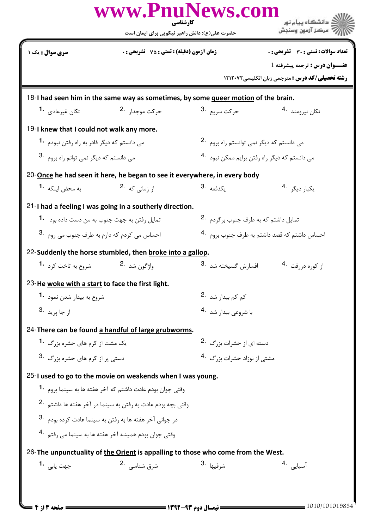|                                                      | حضرت علی(ع): دانش راهبر نیکویی برای ایمان است                                      |                                                 | ر آ مرڪز آزمون وسنڊش                                      |  |
|------------------------------------------------------|------------------------------------------------------------------------------------|-------------------------------------------------|-----------------------------------------------------------|--|
| <b>سری سوال :</b> یک ۱                               | <b>زمان آزمون (دقیقه) : تستی : 75 ٪ تشریحی : 0</b>                                 |                                                 | تعداد سوالات : تستى : 30 - تشريحي : 0                     |  |
|                                                      |                                                                                    |                                                 | عنــوان درس: ترجمه پیشرفته 1                              |  |
|                                                      |                                                                                    |                                                 | <b>رشته تحصیلی/کد درس :</b> مترجمی زبان انگلیسی ۱۲۱۲۰۷۲   |  |
|                                                      | 18-I had seen him in the same way as sometimes, by some queer motion of the brain. |                                                 |                                                           |  |
| تکان غیرعادی <b>1</b> ۰                              | حركت موجدا <sub>د</sub> .2                                                         | حركت سريع <sup>.3</sup>                         | تكان نيرومند 4.                                           |  |
| 19-I knew that I could not walk any more.            |                                                                                    |                                                 |                                                           |  |
| می دانستم که دیگر قادر به راه رفتن نبودم 1۰          |                                                                                    |                                                 | می دانستم که دیگر نمی توانستم راه بروم 2.                 |  |
| می دانستم که دیگر نمی توانم راه بروم 3.              |                                                                                    |                                                 | می دانستم که دیگر راه رفتن برایم ممکن نبود <sup>4</sup> ۰ |  |
|                                                      | 20-Once he had seen it here, he began to see it everywhere, in every body          |                                                 |                                                           |  |
| به محض اینکه <b>1</b> ۰                              | از زمانی که <sup>.2</sup>                                                          | 3. مكدفعه                                       | یکبا <sub>ر</sub> دیگر <sup>4</sup> ۰                     |  |
|                                                      | 21-I had a feeling I was going in a southerly direction.                           |                                                 |                                                           |  |
| تمایل رفتن به جهت جنوب به من دست داده بود <b>1</b> ۰ |                                                                                    | تمایل داشتم که به طرف جنوب برگردم <sup>.2</sup> |                                                           |  |
| احساس می کردم که دارم به طرف جنوب می روم 3.          |                                                                                    |                                                 | احساس داشتم که قصد داشتم به طرف جنوب بروم 4.              |  |
|                                                      | 22-Suddenly the horse stumbled, then broke into a gallop.                          |                                                 |                                                           |  |
| شروع به تاخت کرد <b>1</b>                            | واژگون شد 2.                                                                       | افسارش گسيخته شد <sup>.3</sup>                  | از کوره دررفت 4.                                          |  |
| 23-He woke with a start to face the first light.     |                                                                                    |                                                 |                                                           |  |
| شروع به بیدار شدن نمود 1.                            |                                                                                    | کم کم بیدار شد۔2                                |                                                           |  |
| از جا يريد <sup>.3</sup>                             |                                                                                    | با شروعي بيدار شد 4.                            |                                                           |  |
|                                                      | 24-There can be found a handful of large grubworms.                                |                                                 |                                                           |  |
| یک مشت از کرم های حشره بزرگ <b>1</b> ۰               |                                                                                    |                                                 | دسته ای از حشرات بزرگ 2.                                  |  |
|                                                      | دستی پر از کرم های حشره بزرگ 3.                                                    |                                                 | مشتی از نوزاد حشرات بزرگ 4.                               |  |
|                                                      | 25-I used to go to the movie on weakends when I was young.                         |                                                 |                                                           |  |
|                                                      | وقتی جوان بودم عادت داشتم که آخر هفته ها به سینما بروم 1۰                          |                                                 |                                                           |  |
|                                                      | وقتی بچه بودم عادت به رفتن به سینما در آخر هفته ها داشتم <sup>.2</sup>             |                                                 |                                                           |  |
|                                                      | در جوانی آخر هفته ها به رفتن به سینما عادت کرده بودم <sup>.3</sup>                 |                                                 |                                                           |  |
|                                                      | وقتي جوان بودم هميشه آخر هفته ها به سينما مي , فتم 4.                              |                                                 |                                                           |  |
|                                                      | 26-The unpunctuality of the Orient is appalling to those who come from the West.   |                                                 |                                                           |  |
| جهت يابي 1.                                          | شرق شناسی . 2                                                                      | شرقيها <sup>.3</sup>                            | أسيايى 4.                                                 |  |